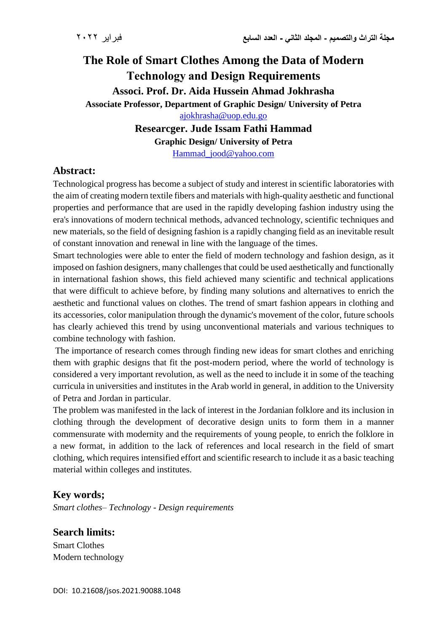# **The Role of Smart Clothes Among the Data of Modern Technology and Design Requirements Associ. Prof. Dr. Aida Hussein Ahmad Jokhrasha Associate Professor, Department of Graphic Design/ University of Petra** [ajokhrasha@uop.edu.go](mailto:ajokhrasha@uop.edu.go)

# **Researcger. Jude Issam Fathi Hammad**

**Graphic Design/ University of Petra**

[Hammad\\_jood@yahoo.com](mailto:Hammad_jood@yahoo.com)

# **Abstract:**

Technological progress has become a subject of study and interest in scientific laboratories with the aim of creating modern textile fibers and materials with high-quality aesthetic and functional properties and performance that are used in the rapidly developing fashion industry using the era's innovations of modern technical methods, advanced technology, scientific techniques and new materials, so the field of designing fashion is a rapidly changing field as an inevitable result of constant innovation and renewal in line with the language of the times.

Smart technologies were able to enter the field of modern technology and fashion design, as it imposed on fashion designers, many challenges that could be used aesthetically and functionally in international fashion shows, this field achieved many scientific and technical applications that were difficult to achieve before, by finding many solutions and alternatives to enrich the aesthetic and functional values on clothes. The trend of smart fashion appears in clothing and its accessories, color manipulation through the dynamic's movement of the color, future schools has clearly achieved this trend by using unconventional materials and various techniques to combine technology with fashion.

The importance of research comes through finding new ideas for smart clothes and enriching them with graphic designs that fit the post-modern period, where the world of technology is considered a very important revolution, as well as the need to include it in some of the teaching curricula in universities and institutes in the Arab world in general, in addition to the University of Petra and Jordan in particular.

The problem was manifested in the lack of interest in the Jordanian folklore and its inclusion in clothing through the development of decorative design units to form them in a manner commensurate with modernity and the requirements of young people, to enrich the folklore in a new format, in addition to the lack of references and local research in the field of smart clothing, which requires intensified effort and scientific research to include it as a basic teaching material within colleges and institutes.

# **Key words;**

*Smart clothes– Technology - Design requirements*

**Search limits:**

Smart Clothes Modern technology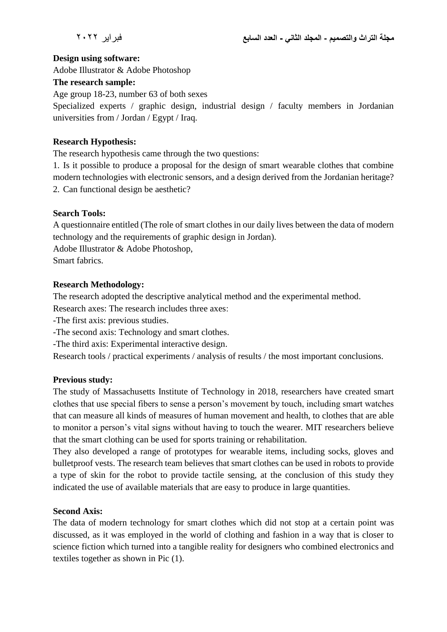#### **Design using software:**

Adobe Illustrator & Adobe Photoshop

#### **The research sample:**

Age group 18-23, number 63 of both sexes

Specialized experts / graphic design, industrial design / faculty members in Jordanian universities from / Jordan / Egypt / Iraq.

## **Research Hypothesis:**

The research hypothesis came through the two questions:

1. Is it possible to produce a proposal for the design of smart wearable clothes that combine modern technologies with electronic sensors, and a design derived from the Jordanian heritage? 2. Can functional design be aesthetic?

### **Search Tools:**

A questionnaire entitled (The role of smart clothes in our daily lives between the data of modern technology and the requirements of graphic design in Jordan).

Adobe Illustrator & Adobe Photoshop,

Smart fabrics.

## **Research Methodology:**

The research adopted the descriptive analytical method and the experimental method.

Research axes: The research includes three axes:

-The first axis: previous studies.

- -The second axis: Technology and smart clothes.
- -The third axis: Experimental interactive design.

Research tools / practical experiments / analysis of results / the most important conclusions.

## **Previous study:**

The study of Massachusetts Institute of Technology in 2018, researchers have created smart clothes that use special fibers to sense a person's movement by touch, including smart watches that can measure all kinds of measures of human movement and health, to clothes that are able to monitor a person's vital signs without having to touch the wearer. MIT researchers believe that the smart clothing can be used for sports training or rehabilitation.

They also developed a range of prototypes for wearable items, including socks, gloves and bulletproof vests. The research team believes that smart clothes can be used in robots to provide a type of skin for the robot to provide tactile sensing, at the conclusion of this study they indicated the use of available materials that are easy to produce in large quantities.

#### **Second Axis:**

The data of modern technology for smart clothes which did not stop at a certain point was discussed, as it was employed in the world of clothing and fashion in a way that is closer to science fiction which turned into a tangible reality for designers who combined electronics and textiles together as shown in Pic (1).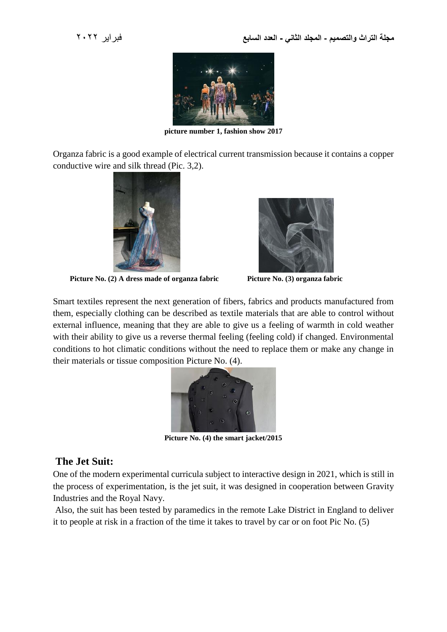

**picture number 1, fashion show 2017**

Organza fabric is a good example of electrical current transmission because it contains a copper conductive wire and silk thread (Pic. 3,2).



 **Picture No. (2) A dress made of organza fabric Picture No. (3) organza fabric**



Smart textiles represent the next generation of fibers, fabrics and products manufactured from them, especially clothing can be described as textile materials that are able to control without external influence, meaning that they are able to give us a feeling of warmth in cold weather with their ability to give us a reverse thermal feeling (feeling cold) if changed. Environmental conditions to hot climatic conditions without the need to replace them or make any change in their materials or tissue composition Picture No. (4).



**Picture No. (4) the smart jacket/2015**

# **The Jet Suit:**

One of the modern experimental curricula subject to interactive design in 2021, which is still in the process of experimentation, is the jet suit, it was designed in cooperation between Gravity Industries and the Royal Navy.

Also, the suit has been tested by paramedics in the remote Lake District in England to deliver it to people at risk in a fraction of the time it takes to travel by car or on foot Pic No. (5)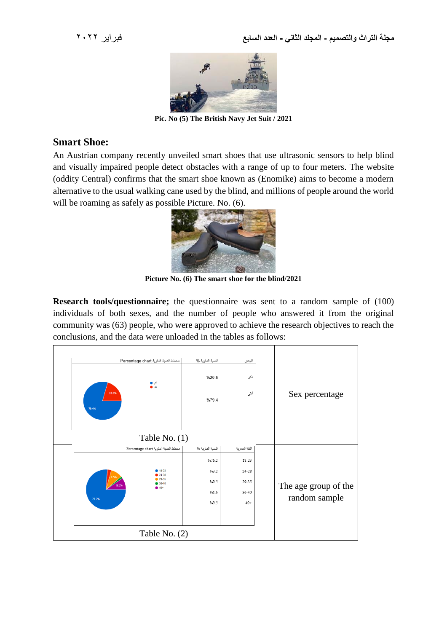

**Pic. No (5) The British Navy Jet Suit / 2021**

## **Smart Shoe:**

An Austrian company recently unveiled smart shoes that use ultrasonic sensors to help blind and visually impaired people detect obstacles with a range of up to four meters. The website (oddity Central) confirms that the smart shoe known as (Enomike) aims to become a modern alternative to the usual walking cane used by the blind, and millions of people around the world will be roaming as safely as possible Picture. No. (6).



**Picture No. (6) The smart shoe for the blind/2021**

**Research tools/questionnaire;** the questionnaire was sent to a random sample of (100) individuals of both sexes, and the number of people who answered it from the original community was (63) people, who were approved to achieve the research objectives to reach the conclusions, and the data were unloaded in the tables as follows:

| مغطط الصبة المثوية Percentage chart<br>اش ی<br>ئ ہ<br>20.6%<br>79.4%<br>Table No. $(1)$ | النسبة المئوية %<br>%20.6<br>%79.4 | الجنس<br>ذكر<br>أتثى | Sex percentage       |
|-----------------------------------------------------------------------------------------|------------------------------------|----------------------|----------------------|
| مغطط النسبة المثوية Percentage chart                                                    | النسبة المئوية %                   | الفئة العمرية        |                      |
|                                                                                         | %76.2                              | 18-23                |                      |
| 18-23<br>24-28                                                                          | %3.2                               | 24-28                |                      |
| 29-35<br>$36-40$<br>9.5%                                                                | %9.5                               | 29-35                | The age group of the |
| $40+$<br>76.2%                                                                          | %1.6                               | 36-40                | random sample        |
|                                                                                         | %9.5                               | $40+$                |                      |
|                                                                                         |                                    |                      |                      |
| Table No. (2)                                                                           |                                    |                      |                      |
|                                                                                         |                                    |                      |                      |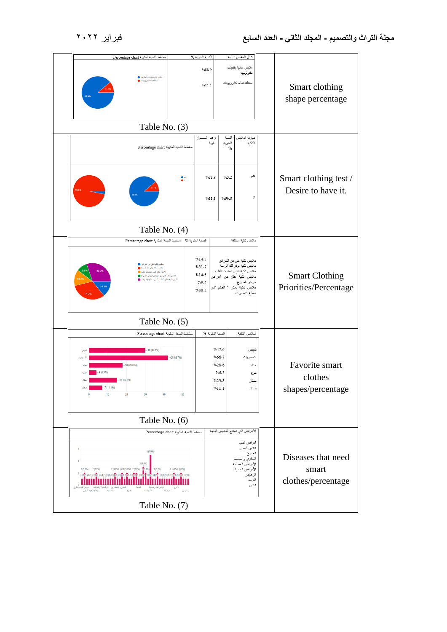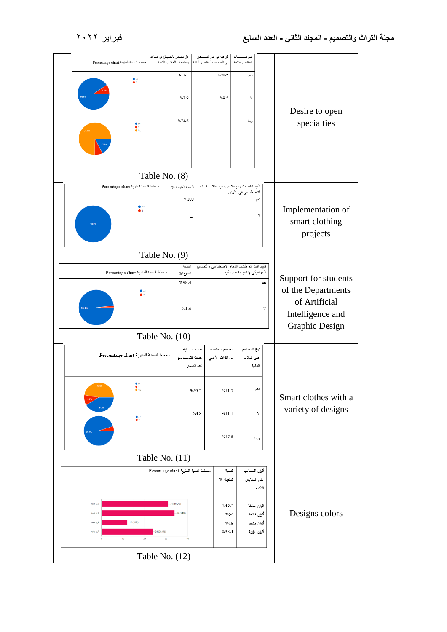|                                                               | مغطط الصبة المثوية Percentage chart                                        | هل ستبادر بالتسجيل في معاهد          | في الجامعات للملابس الذكية   وجامعات للملابس الذكية |              | الرعبة في فتح التخصص          | فتح تخصصنات<br>للملابس الذكية                                              |        |                                            |
|---------------------------------------------------------------|----------------------------------------------------------------------------|--------------------------------------|-----------------------------------------------------|--------------|-------------------------------|----------------------------------------------------------------------------|--------|--------------------------------------------|
|                                                               | $\cdot$                                                                    |                                      | %17.5                                               |              | %90.5                         | نعم                                                                        |        |                                            |
|                                                               |                                                                            |                                      |                                                     |              |                               |                                                                            |        |                                            |
|                                                               |                                                                            |                                      | %7.9                                                |              | %9.5                          | Y                                                                          |        |                                            |
|                                                               |                                                                            |                                      | %74.6                                               |              |                               |                                                                            |        | Desire to open                             |
|                                                               | $\begin{array}{c} \bullet \\ \bullet \circ \\ \bullet \circ \end{array}$   |                                      |                                                     |              |                               | ريما                                                                       |        | specialties                                |
|                                                               |                                                                            |                                      |                                                     |              |                               |                                                                            |        |                                            |
|                                                               |                                                                            |                                      |                                                     |              |                               |                                                                            |        |                                            |
|                                                               |                                                                            | Table No. (8)                        |                                                     |              |                               |                                                                            |        |                                            |
|                                                               | مخطط النسبة المثوية Percentage chart                                       |                                      | النسبة المئوية %                                    |              |                               | تأبيد تتفيذ مشاريع ملابس ذكية لطلاب الذكاء                                 |        |                                            |
|                                                               |                                                                            |                                      | %100                                                |              |                               | الاصطناعي في الأردن                                                        | تغم    |                                            |
|                                                               |                                                                            |                                      |                                                     |              |                               |                                                                            | y      | Implementation of                          |
|                                                               | 100%                                                                       |                                      |                                                     |              |                               |                                                                            |        | smart clothing                             |
|                                                               |                                                                            |                                      |                                                     |              |                               |                                                                            |        | projects                                   |
|                                                               |                                                                            | Table No. (9)                        |                                                     |              |                               |                                                                            |        |                                            |
|                                                               | مغطط النسبة المثوية Percentage chart                                       |                                      | الصدة<br>المئوية%                                   |              |                               | تأبيد اشتراك طلاب الذكاء الاصطناعي والتصميم<br>الجرافيكي لإنتاج ملابس ذكية |        |                                            |
|                                                               |                                                                            |                                      | %98.4                                               |              |                               |                                                                            | تعم    | Support for students                       |
|                                                               |                                                                            |                                      |                                                     |              |                               |                                                                            |        | of the Departments                         |
|                                                               |                                                                            |                                      | %1.6                                                |              |                               |                                                                            | y      | of Artificial                              |
|                                                               |                                                                            |                                      |                                                     |              |                               |                                                                            |        | Intelligence and<br>Graphic Design         |
|                                                               |                                                                            | Table No. (10)                       |                                                     |              |                               |                                                                            |        |                                            |
|                                                               | مخطط النسبة المئوية Percentage chart                                       |                                      |                                                     | تصاميع برؤية | تصاميم مستنبطة                | دوع التصاميع                                                               |        |                                            |
|                                                               |                                                                            |                                      | حنيثة تتناسب مع                                     | لغة العصر    | من التزاث الأربد <sub>ى</sub> | على الملابس                                                                | الذكية |                                            |
|                                                               |                                                                            |                                      |                                                     |              |                               |                                                                            |        |                                            |
|                                                               | 47.6%<br>ربنا ہ                                                            |                                      | %95.2                                               |              | %41.3                         |                                                                            |        |                                            |
|                                                               |                                                                            |                                      |                                                     |              |                               |                                                                            |        | Smart clothes with a<br>variety of designs |
|                                                               | $\ddot{\bullet}$                                                           |                                      |                                                     | %4.8         | %11.1                         |                                                                            | Y      |                                            |
|                                                               |                                                                            |                                      |                                                     |              | %47.6                         |                                                                            |        |                                            |
|                                                               |                                                                            |                                      |                                                     |              |                               |                                                                            | ريما   |                                            |
| Table No. $(11)$                                              |                                                                            |                                      |                                                     |              |                               |                                                                            |        |                                            |
|                                                               |                                                                            | مخطط النسبة المثونة Percentage chart |                                                     |              | الصبة<br>المثوبة %            | ألوان التصاميع                                                             |        |                                            |
|                                                               | على الملابس<br>الذكية<br>الوان هامقه<br>31 (49.2%)<br>%49.2<br>ألوان غامقة |                                      |                                                     |              |                               |                                                                            |        |                                            |
|                                                               |                                                                            |                                      |                                                     |              |                               |                                                                            |        |                                            |
| $-34(54%)$<br>گران قائمة<br>ألوان فاتحة<br>%54                |                                                                            |                                      |                                                     |              |                               | Designs colors                                                             |        |                                            |
| 12(19%)<br>كران فشكه<br>%19<br>24(38.1%)<br>%38.1<br>لون وبيه |                                                                            |                                      |                                                     |              |                               | ألوان مشعة<br>ألوان تزابية                                                 |        |                                            |
| 10<br>20<br>30<br>40                                          |                                                                            |                                      |                                                     |              |                               |                                                                            |        |                                            |
|                                                               |                                                                            | Table No. $(12)$                     |                                                     |              |                               |                                                                            |        |                                            |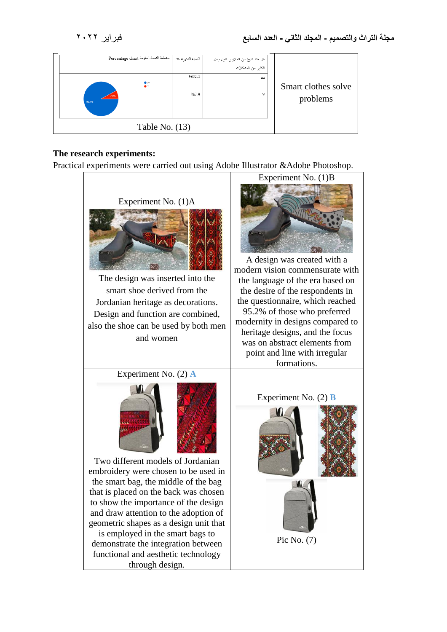| مخطط النسبة المثوية Percentage chart | النسبة المئوية % | هل هذا النوع من الملابس كفيل بحل<br>الكثير من المشكلات |                                 |
|--------------------------------------|------------------|--------------------------------------------------------|---------------------------------|
| $\bullet$<br>7.9%<br>92.1%           | %92.1<br>%7.9    | تعم<br>Y                                               | Smart clothes solve<br>problems |
| Table No. $(13)$                     |                  |                                                        |                                 |

#### **The research experiments:**

Practical experiments were carried out using Adobe Illustrator &Adobe Photoshop.

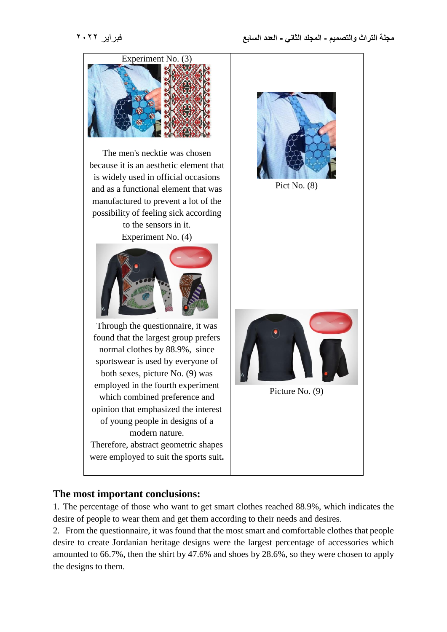

# **The most important conclusions:**

1. The percentage of those who want to get smart clothes reached 88.9%, which indicates the desire of people to wear them and get them according to their needs and desires.

2. From the questionnaire, it was found that the most smart and comfortable clothes that people desire to create Jordanian heritage designs were the largest percentage of accessories which amounted to 66.7%, then the shirt by 47.6% and shoes by 28.6%, so they were chosen to apply the designs to them.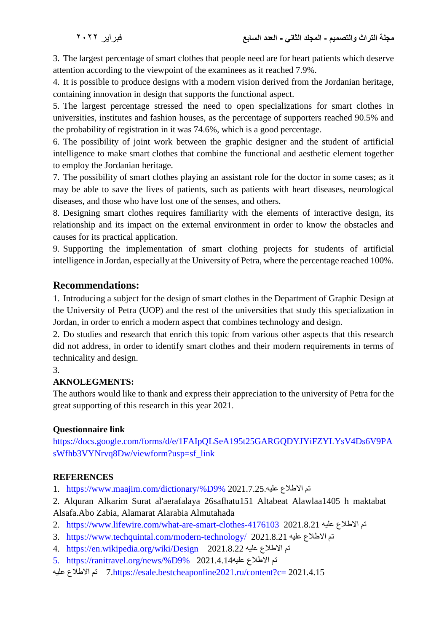3. The largest percentage of smart clothes that people need are for heart patients which deserve attention according to the viewpoint of the examinees as it reached 7.9%.

4. It is possible to produce designs with a modern vision derived from the Jordanian heritage, containing innovation in design that supports the functional aspect.

5. The largest percentage stressed the need to open specializations for smart clothes in universities, institutes and fashion houses, as the percentage of supporters reached 90.5% and the probability of registration in it was 74.6%, which is a good percentage.

6. The possibility of joint work between the graphic designer and the student of artificial intelligence to make smart clothes that combine the functional and aesthetic element together to employ the Jordanian heritage.

7. The possibility of smart clothes playing an assistant role for the doctor in some cases; as it may be able to save the lives of patients, such as patients with heart diseases, neurological diseases, and those who have lost one of the senses, and others.

8. Designing smart clothes requires familiarity with the elements of interactive design, its relationship and its impact on the external environment in order to know the obstacles and causes for its practical application.

9. Supporting the implementation of smart clothing projects for students of artificial intelligence in Jordan, especially at the University of Petra, where the percentage reached 100%.

# **Recommendations:**

1. Introducing a subject for the design of smart clothes in the Department of Graphic Design at the University of Petra (UOP) and the rest of the universities that study this specialization in Jordan, in order to enrich a modern aspect that combines technology and design.

2. Do studies and research that enrich this topic from various other aspects that this research did not address, in order to identify smart clothes and their modern requirements in terms of technicality and design.

## 3.

## **AKNOLEGMENTS:**

The authors would like to thank and express their appreciation to the university of Petra for the great supporting of this research in this year 2021.

## **Questionnaire link**

[https://docs.google.com/forms/d/e/1FAIpQLSeA195t25GARGQDYJYiFZYLYsV4Ds6V9PA](https://docs.google.com/forms/d/e/1FAIpQLSeA195t25GARGQDYJYiFZYLYsV4Ds6V9PAsWfhb3VYNrvq8Dw/viewform?usp=sf_link) [sWfhb3VYNrvq8Dw/viewform?usp=sf\\_link](https://docs.google.com/forms/d/e/1FAIpQLSeA195t25GARGQDYJYiFZYLYsV4Ds6V9PAsWfhb3VYNrvq8Dw/viewform?usp=sf_link)

## **REFERENCES**

1. [https://www.maajim.com/dictionary/%D9%](https://www.maajim.com/dictionary/%D9%85%D8%AE%D8%A8%D8%A3%20%D8%A7%D9%84%D9%85%D9%84%D8%A7%D8%A8%D8%B3/1/%D9%84%D8%B3%D8%A7%D9%86%20%D8%A7%D9%84%D8%B9%D8%B1%D8%A8) 2021.7.25 عليه.

2. Alquran Alkarim Surat al'aerafalaya 26safhatu151 Altabeat Alawlaa1405 h maktabat Alsafa.Abo Zabia, Alamarat Alarabia Almutahada

- 2. <https://www.lifewire.com/what-are-smart-clothes-4176103>2021.8.21 عليه االطالع تم
- 3. <https://www.techquintal.com/modern-technology/> 2021.8.21 عليه 2021.8.11
- 4. <https://en.wikipedia.org/wiki/Design>2021.8.22 عليه االطالع تم
- 5. [https://ranitravel.org/news/%D9%](https://ranitravel.org/news/%D9%85%D9%84%D8%A7%D8%A8%D8%B3-%D8%B0%D9%83%D9%8A%D8%A9-%D8%AA%D9%82%D9%8A%D8%B3-%D8%A7%D9%84%D8%AD%D8%B1%D9%83%D8%A9-%D8%AC%D8%AF%D9%8A%D8%AF-%D8%A7%D9%84%D8%B9%D9%84%D9%85%D8%A7%D8%A1/) 2021.4.14عليه االطالع تم
- علي[ه](https://esale.bestcheaponline2021.ru/content?c=%D8%AA%D8%B5%D9%84%D8%AD%20%D9%84%D9%84%D9%85%D9%84%D8%A7%D8%A8%D8%B3&id=38) االطالع تم [7.https://esale.bestcheaponline2021.ru/content?c=](https://esale.bestcheaponline2021.ru/content?c=%D8%AA%D8%B5%D9%84%D8%AD%20%D9%84%D9%84%D9%85%D9%84%D8%A7%D8%A8%D8%B3&id=38) 2021.4.15